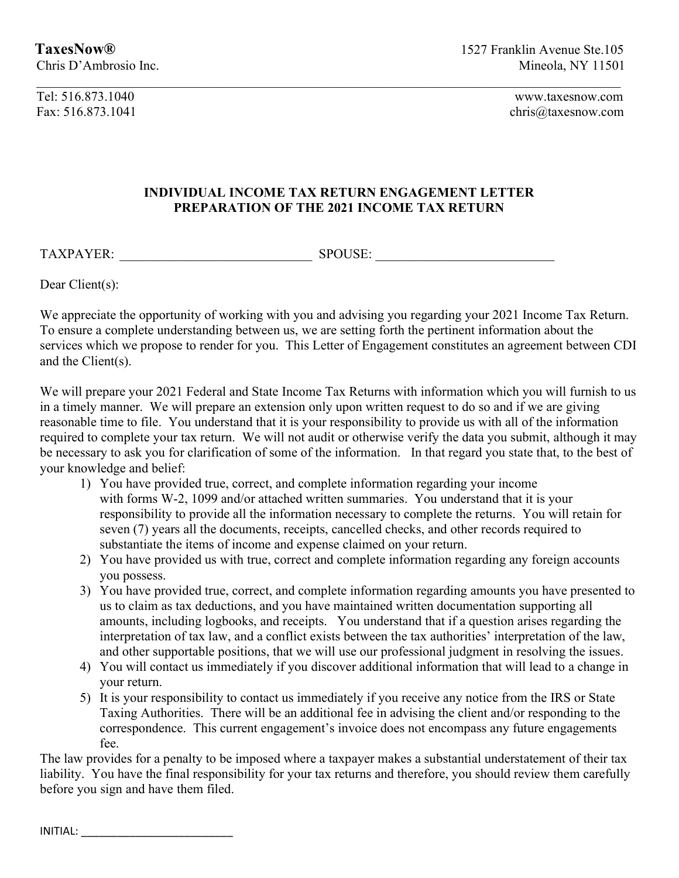Tel: 516.873.1040 www.taxesnow.com

Fax: 516.873.1041 chris@taxesnow.com

## INDIVIDUAL INCOME TAX RETURN ENGAGEMENT LETTER PREPARATION OF THE 2021 INCOME TAX RETURN

TAXPAYER: \_\_\_\_\_\_\_\_\_\_\_\_\_\_\_\_\_\_\_\_\_\_\_\_\_\_\_\_\_ SPOUSE: \_\_\_\_\_\_\_\_\_\_\_\_\_\_\_\_\_\_\_\_\_\_\_\_\_\_\_

Dear Client(s):

We appreciate the opportunity of working with you and advising you regarding your 2021 Income Tax Return. To ensure a complete understanding between us, we are setting forth the pertinent information about the services which we propose to render for you. This Letter of Engagement constitutes an agreement between CDI and the Client(s).

We will prepare your 2021 Federal and State Income Tax Returns with information which you will furnish to us in a timely manner. We will prepare an extension only upon written request to do so and if we are giving reasonable time to file. You understand that it is your responsibility to provide us with all of the information required to complete your tax return. We will not audit or otherwise verify the data you submit, although it may be necessary to ask you for clarification of some of the information. In that regard you state that, to the best of your knowledge and belief:

- 1) You have provided true, correct, and complete information regarding your income with forms W-2, 1099 and/or attached written summaries. You understand that it is your responsibility to provide all the information necessary to complete the returns. You will retain for seven (7) years all the documents, receipts, cancelled checks, and other records required to substantiate the items of income and expense claimed on your return.
- 2) You have provided us with true, correct and complete information regarding any foreign accounts you possess.
- 3) You have provided true, correct, and complete information regarding amounts you have presented to us to claim as tax deductions, and you have maintained written documentation supporting all amounts, including logbooks, and receipts. You understand that if a question arises regarding the interpretation of tax law, and a conflict exists between the tax authorities' interpretation of the law, and other supportable positions, that we will use our professional judgment in resolving the issues.
- 4) You will contact us immediately if you discover additional information that will lead to a change in your return.
- 5) It is your responsibility to contact us immediately if you receive any notice from the IRS or State Taxing Authorities. There will be an additional fee in advising the client and/or responding to the correspondence. This current engagement's invoice does not encompass any future engagements fee.

The law provides for a penalty to be imposed where a taxpayer makes a substantial understatement of their tax liability. You have the final responsibility for your tax returns and therefore, you should review them carefully before you sign and have them filed.

INITIAL: \_\_\_\_\_\_\_\_\_\_\_\_\_\_\_\_\_\_\_\_\_\_\_\_\_